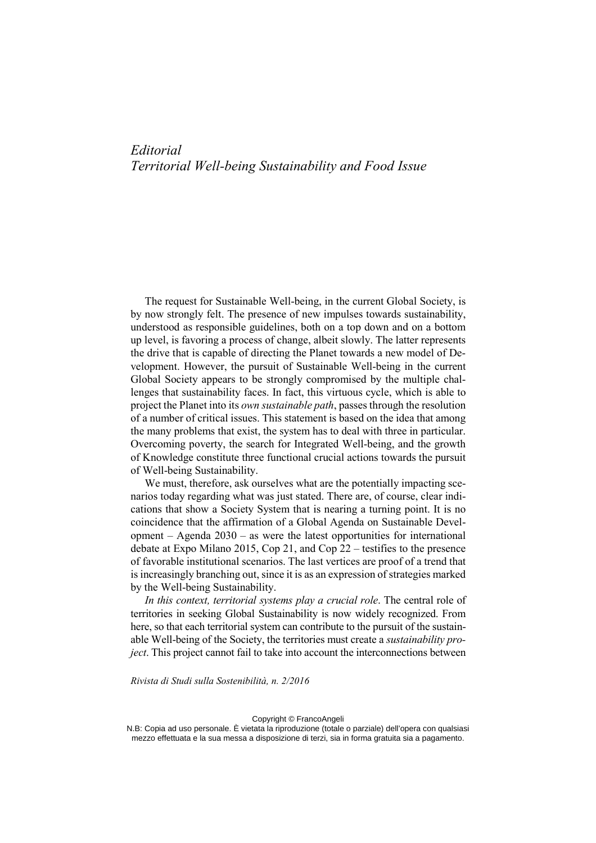## *Editorial Territorial Well-being Sustainability and Food Issue*

The request for Sustainable Well-being, in the current Global Society, is by now strongly felt. The presence of new impulses towards sustainability, understood as responsible guidelines, both on a top down and on a bottom up level, is favoring a process of change, albeit slowly. The latter represents the drive that is capable of directing the Planet towards a new model of Development. However, the pursuit of Sustainable Well-being in the current Global Society appears to be strongly compromised by the multiple challenges that sustainability faces. In fact, this virtuous cycle, which is able to project the Planet into its *own sustainable path*, passes through the resolution of a number of critical issues. This statement is based on the idea that among the many problems that exist, the system has to deal with three in particular. Overcoming poverty, the search for Integrated Well-being, and the growth of Knowledge constitute three functional crucial actions towards the pursuit of Well-being Sustainability.

We must, therefore, ask ourselves what are the potentially impacting scenarios today regarding what was just stated. There are, of course, clear indications that show a Society System that is nearing a turning point. It is no coincidence that the affirmation of a Global Agenda on Sustainable Development – Agenda 2030 – as were the latest opportunities for international debate at Expo Milano 2015, Cop 21, and Cop 22 – testifies to the presence of favorable institutional scenarios. The last vertices are proof of a trend that is increasingly branching out, since it is as an expression of strategies marked by the Well-being Sustainability.

*In this context, territorial systems play a crucial role*. The central role of territories in seeking Global Sustainability is now widely recognized. From here, so that each territorial system can contribute to the pursuit of the sustainable Well-being of the Society, the territories must create a *sustainability project*. This project cannot fail to take into account the interconnections between

*Rivista di Studi sulla Sostenibilità, n. 2/2016* 

Copyright © FrancoAngeli

N.B: Copia ad uso personale. È vietata la riproduzione (totale o parziale) dell'opera con qualsiasi mezzo effettuata e la sua messa a disposizione di terzi, sia in forma gratuita sia a pagamento.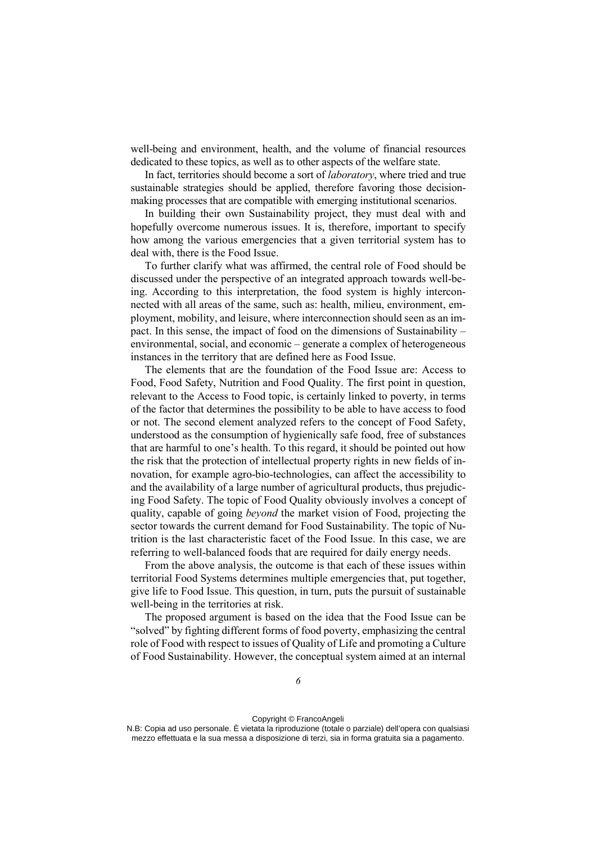well-being and environment, health, and the volume of financial resources dedicated to these topics, as well as to other aspects of the welfare state.

In fact, territories should become a sort of *laboratory*, where tried and true sustainable strategies should be applied, therefore favoring those decisionmaking processes that are compatible with emerging institutional scenarios.

In building their own Sustainability project, they must deal with and hopefully overcome numerous issues. It is, therefore, important to specify how among the various emergencies that a given territorial system has to deal with, there is the Food Issue.

To further clarify what was affirmed, the central role of Food should be discussed under the perspective of an integrated approach towards well-being. According to this interpretation, the food system is highly interconnected with all areas of the same, such as: health, milieu, environment, employment, mobility, and leisure, where interconnection should seen as an impact. In this sense, the impact of food on the dimensions of Sustainability – environmental, social, and economic – generate a complex of heterogeneous instances in the territory that are defined here as Food Issue.

The elements that are the foundation of the Food Issue are: Access to Food, Food Safety, Nutrition and Food Quality. The first point in question, relevant to the Access to Food topic, is certainly linked to poverty, in terms of the factor that determines the possibility to be able to have access to food or not. The second element analyzed refers to the concept of Food Safety, understood as the consumption of hygienically safe food, free of substances that are harmful to one's health. To this regard, it should be pointed out how the risk that the protection of intellectual property rights in new fields of innovation, for example agro-bio-technologies, can affect the accessibility to and the availability of a large number of agricultural products, thus prejudicing Food Safety. The topic of Food Quality obviously involves a concept of quality, capable of going *beyond* the market vision of Food, projecting the sector towards the current demand for Food Sustainability. The topic of Nutrition is the last characteristic facet of the Food Issue. In this case, we are referring to well-balanced foods that are required for daily energy needs.

From the above analysis, the outcome is that each of these issues within territorial Food Systems determines multiple emergencies that, put together, give life to Food Issue. This question, in turn, puts the pursuit of sustainable well-being in the territories at risk.

The proposed argument is based on the idea that the Food Issue can be "solved" by fighting different forms of food poverty, emphasizing the central role of Food with respect to issues of Quality of Life and promoting a Culture of Food Sustainability. However, the conceptual system aimed at an internal

N.B: Copia ad uso personale. È vietata la riproduzione (totale o parziale) dell'opera con qualsiasi mezzo effettuata e la sua messa a disposizione di terzi, sia in forma gratuita sia a pagamento.